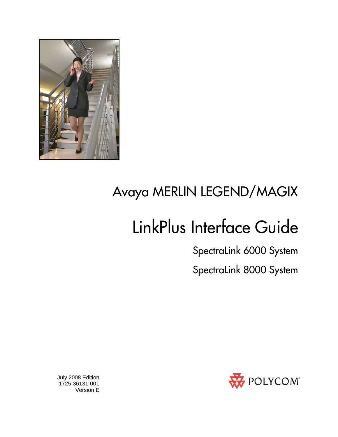

# Avaya MERLIN LEGEND/MAGIX

# LinkPlus Interface Guide

SpectraLink 6000 System

SpectraLink 8000 System



 July 2008 Edition 1725-36131-001 Version E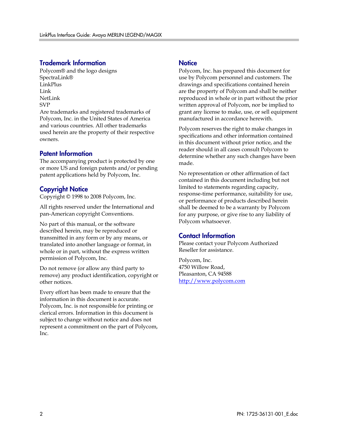#### Trademark Information

Polycom® and the logo designs SpectraLink® LinkPlus Link NetLink SVP

Are trademarks and registered trademarks of Polycom, Inc. in the United States of America and various countries. All other trademarks used herein are the property of their respective owners.

#### Patent Information

The accompanying product is protected by one or more US and foreign patents and/or pending patent applications held by Polycom, Inc.

#### Copyright Notice

Copyright © 1998 to 2008 Polycom, Inc.

All rights reserved under the International and pan-American copyright Conventions.

No part of this manual, or the software described herein, may be reproduced or transmitted in any form or by any means, or translated into another language or format, in whole or in part, without the express written permission of Polycom, Inc.

Do not remove (or allow any third party to remove) any product identification, copyright or other notices.

Every effort has been made to ensure that the information in this document is accurate. Polycom, Inc. is not responsible for printing or clerical errors. Information in this document is subject to change without notice and does not represent a commitment on the part of Polycom, Inc.

#### **Notice**

Polycom, Inc. has prepared this document for use by Polycom personnel and customers. The drawings and specifications contained herein are the property of Polycom and shall be neither reproduced in whole or in part without the prior written approval of Polycom, nor be implied to grant any license to make, use, or sell equipment manufactured in accordance herewith.

Polycom reserves the right to make changes in specifications and other information contained in this document without prior notice, and the reader should in all cases consult Polycom to determine whether any such changes have been made.

No representation or other affirmation of fact contained in this document including but not limited to statements regarding capacity, response-time performance, suitability for use, or performance of products described herein shall be deemed to be a warranty by Polycom for any purpose, or give rise to any liability of Polycom whatsoever.

#### Contact Information

Please contact your Polycom Authorized Reseller for assistance.

Polycom, Inc. 4750 Willow Road, Pleasanton, CA 94588 [http://www.polycom.com](http://www.polycom.com/)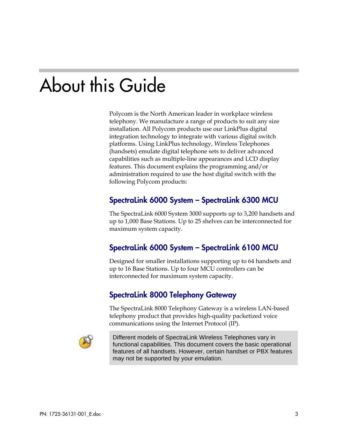# About this Guide

Polycom is the North American leader in workplace wireless telephony. We manufacture a range of products to suit any size installation. All Polycom products use our LinkPlus digital integration technology to integrate with various digital switch platforms. Using LinkPlus technology, Wireless Telephones (handsets) emulate digital telephone sets to deliver advanced capabilities such as multiple-line appearances and LCD display features. This document explains the programming and/or administration required to use the host digital switch with the following Polycom products:

### SpectraLink 6000 System – SpectraLink 6300 MCU

The SpectraLink 6000 System 3000 supports up to 3,200 handsets and up to 1,000 Base Stations. Up to 25 shelves can be interconnected for maximum system capacity.

### SpectraLink 6000 System – SpectraLink 6100 MCU

Designed for smaller installations supporting up to 64 handsets and up to 16 Base Stations. Up to four MCU controllers can be interconnected for maximum system capacity.

### SpectraLink 8000 Telephony Gateway

The SpectraLink 8000 Telephony Gateway is a wireless LAN-based telephony product that provides high-quality packetized voice communications using the Internet Protocol (IP).



Different models of SpectraLink Wireless Telephones vary in functional capabilities. This document covers the basic operational features of all handsets. However, certain handset or PBX features may not be supported by your emulation.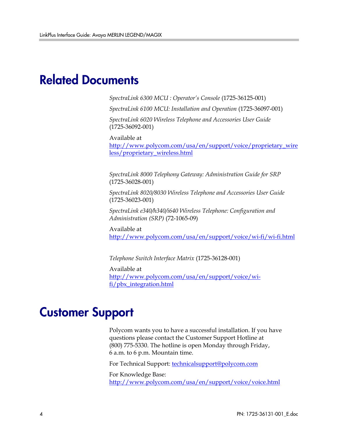### Related Documents

*SpectraLink 6300 MCU : Operator's Console* (1725-36125-001)

*SpectraLink 6100 MCU: Installation and Operation* (1725-36097-001)

*SpectraLink 6020 Wireless Telephone and Accessories User Guide*  (1725-36092-001)

Available at

[http://www.polycom.com/usa/en/support/voice/proprietary\\_wire](http://www.polycom.com/usa/en/support/voice/proprietary_wireless/proprietary_wireless.html) [less/proprietary\\_wireless.html](http://www.polycom.com/usa/en/support/voice/proprietary_wireless/proprietary_wireless.html)

*SpectraLink 8000 Telephony Gateway: Administration Guide for SRP*  (1725-36028-001)

*SpectraLink 8020/8030 Wireless Telephone and Accessories User Guide*  (1725-36023-001)

*SpectraLink e340/h340/i640 Wireless Telephone: Configuration and Administration (SRP)* (72-1065-09)

Available at <http://www.polycom.com/usa/en/support/voice/wi-fi/wi-fi.html>

*Telephone Switch Interface Matrix* (1725-36128-001)

Available at [http://www.polycom.com/usa/en/support/voice/wi](http://www.polycom.com/usa/en/support/voice/wi-fi/pbx_integration.html)[fi/pbx\\_integration.html](http://www.polycom.com/usa/en/support/voice/wi-fi/pbx_integration.html)

### Customer Support

Polycom wants you to have a successful installation. If you have questions please contact the Customer Support Hotline at (800) 775-5330. The hotline is open Monday through Friday, 6 a.m. to 6 p.m. Mountain time.

For Technical Support: [technicalsupport@polycom.com](mailto:technicalsupport@polycom.com)

For Knowledge Base: <http://www.polycom.com/usa/en/support/voice/voice.html>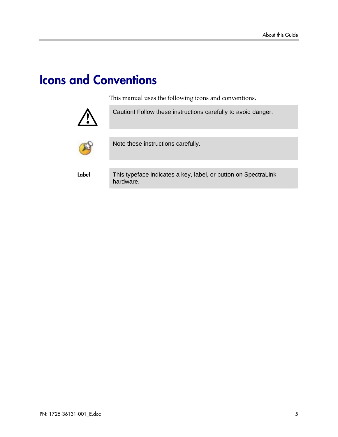## Icons and Conventions

This manual uses the following icons and conventions.



Caution! Follow these instructions carefully to avoid danger.



Note these instructions carefully.

Label This typeface indicates a key, label, or button on SpectraLink hardware.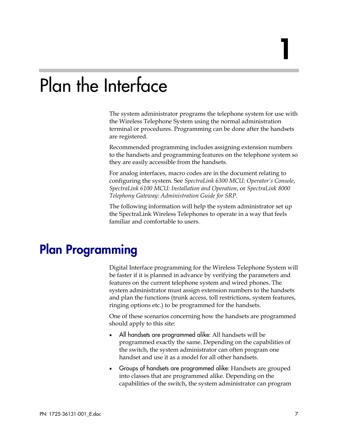# Plan the Interface

The system administrator programs the telephone system for use with the Wireless Telephone System using the normal administration terminal or procedures. Programming can be done after the handsets are registered.

Recommended programming includes assigning extension numbers to the handsets and programming features on the telephone system so they are easily accessible from the handsets.

For analog interfaces, macro codes are in the document relating to configuring the system. See *SpectraLink 6300 MCU: Operator's Console*, *SpectraLink 6100 MCU: Installation and Operation*, or *SpectraLink 8000 Telephony Gateway: Administration Guide for SRP.*

The following information will help the system administrator set up the SpectraLink Wireless Telephones to operate in a way that feels familiar and comfortable to users.

### Plan Programming

Digital Interface programming for the Wireless Telephone System will be faster if it is planned in advance by verifying the parameters and features on the current telephone system and wired phones. The system administrator must assign extension numbers to the handsets and plan the functions (trunk access, toll restrictions, system features, ringing options etc.) to be programmed for the handsets.

One of these scenarios concerning how the handsets are programmed should apply to this site:

- All handsets are programmed alike: All handsets will be programmed exactly the same. Depending on the capabilities of the switch, the system administrator can often program one handset and use it as a model for all other handsets.
- Groups of handsets are programmed alike: Handsets are grouped into classes that are programmed alike. Depending on the capabilities of the switch, the system administrator can program

1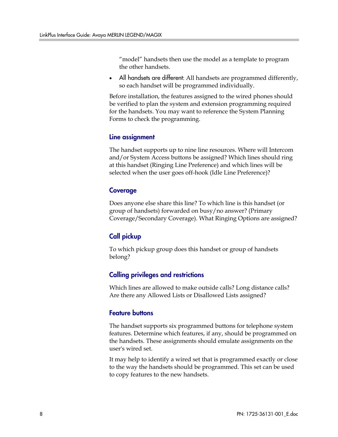"model" handsets then use the model as a template to program the other handsets.

All handsets are different: All handsets are programmed differently, so each handset will be programmed individually.

Before installation, the features assigned to the wired phones should be verified to plan the system and extension programming required for the handsets. You may want to reference the System Planning Forms to check the programming.

#### Line assignment

The handset supports up to nine line resources. Where will Intercom and/or System Access buttons be assigned? Which lines should ring at this handset (Ringing Line Preference) and which lines will be selected when the user goes off-hook (Idle Line Preference)?

#### Coverage

Does anyone else share this line? To which line is this handset (or group of handsets) forwarded on busy/no answer? (Primary Coverage/Secondary Coverage). What Ringing Options are assigned?

### Call pickup

To which pickup group does this handset or group of handsets belong?

#### Calling privileges and restrictions

Which lines are allowed to make outside calls? Long distance calls? Are there any Allowed Lists or Disallowed Lists assigned?

#### Feature buttons

The handset supports six programmed buttons for telephone system features. Determine which features, if any, should be programmed on the handsets. These assignments should emulate assignments on the user's wired set.

It may help to identify a wired set that is programmed exactly or close to the way the handsets should be programmed. This set can be used to copy features to the new handsets.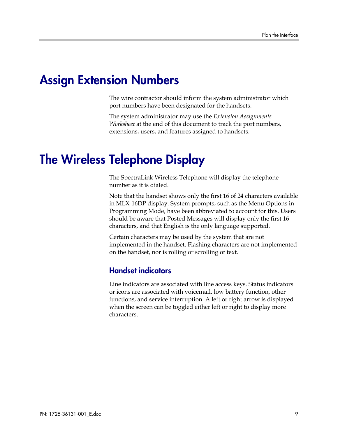## Assign Extension Numbers

The wire contractor should inform the system administrator which port numbers have been designated for the handsets.

The system administrator may use the *Extension Assignments Worksheet* at the end of this document to track the port numbers, extensions, users, and features assigned to handsets.

### The Wireless Telephone Display

The SpectraLink Wireless Telephone will display the telephone number as it is dialed.

Note that the handset shows only the first 16 of 24 characters available in MLX-16DP display. System prompts, such as the Menu Options in Programming Mode, have been abbreviated to account for this. Users should be aware that Posted Messages will display only the first 16 characters, and that English is the only language supported.

Certain characters may be used by the system that are not implemented in the handset. Flashing characters are not implemented on the handset, nor is rolling or scrolling of text.

### Handset indicators

Line indicators are associated with line access keys. Status indicators or icons are associated with voicemail, low battery function, other functions, and service interruption. A left or right arrow is displayed when the screen can be toggled either left or right to display more characters.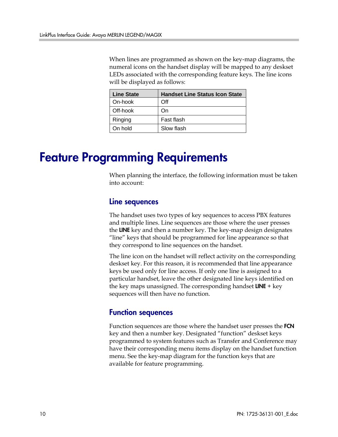When lines are programmed as shown on the key-map diagrams, the numeral icons on the handset display will be mapped to any deskset LEDs associated with the corresponding feature keys. The line icons will be displayed as follows:

| <b>Line State</b> | <b>Handset Line Status Icon State</b> |
|-------------------|---------------------------------------|
| On-hook           | Off                                   |
| Off-hook          | On)                                   |
| Ringing           | Fast flash                            |
| On hold           | Slow flash                            |

### Feature Programming Requirements

When planning the interface, the following information must be taken into account:

#### Line sequences

The handset uses two types of key sequences to access PBX features and multiple lines. Line sequences are those where the user presses the LINE key and then a number key. The key-map design designates "line" keys that should be programmed for line appearance so that they correspond to line sequences on the handset.

The line icon on the handset will reflect activity on the corresponding deskset key. For this reason, it is recommended that line appearance keys be used only for line access. If only one line is assigned to a particular handset, leave the other designated line keys identified on the key maps unassigned. The corresponding handset  $LINE + key$ sequences will then have no function.

#### Function sequences

Function sequences are those where the handset user presses the **FCN** key and then a number key. Designated "function" deskset keys programmed to system features such as Transfer and Conference may have their corresponding menu items display on the handset function menu. See the key-map diagram for the function keys that are available for feature programming.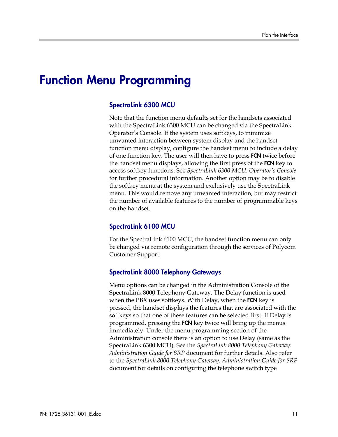### Function Menu Programming

#### SpectraLink 6300 MCU

Note that the function menu defaults set for the handsets associated with the SpectraLink 6300 MCU can be changed via the SpectraLink Operator's Console. If the system uses softkeys, to minimize unwanted interaction between system display and the handset function menu display, configure the handset menu to include a delay of one function key. The user will then have to press **FCN** twice before the handset menu displays, allowing the first press of the FCN key to access softkey functions. See *SpectraLink 6300 MCU: Operator's Console* for further procedural information. Another option may be to disable the softkey menu at the system and exclusively use the SpectraLink menu. This would remove any unwanted interaction, but may restrict the number of available features to the number of programmable keys on the handset.

#### SpectraLink 6100 MCU

For the SpectraLink 6100 MCU, the handset function menu can only be changed via remote configuration through the services of Polycom Customer Support.

#### SpectraLink 8000 Telephony Gateways

Menu options can be changed in the Administration Console of the SpectraLink 8000 Telephony Gateway. The Delay function is used when the PBX uses softkeys. With Delay, when the FCN key is pressed, the handset displays the features that are associated with the softkeys so that one of these features can be selected first. If Delay is programmed, pressing the FCN key twice will bring up the menus immediately. Under the menu programming section of the Administration console there is an option to use Delay (same as the SpectraLink 6300 MCU). See the *SpectraLink 8000 Telephony Gateway: Administration Guide for SRP* document for further details. Also refer to the *SpectraLink 8000 Telephony Gateway: Administration Guide for SRP*  document for details on configuring the telephone switch type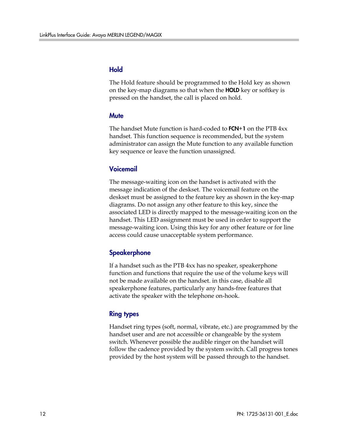#### Hold

The Hold feature should be programmed to the Hold key as shown on the key-map diagrams so that when the **HOLD** key or softkey is pressed on the handset, the call is placed on hold.

#### **Mute**

The handset Mute function is hard-coded to  $FCN+1$  on the PTB  $4xx$ handset. This function sequence is recommended, but the system administrator can assign the Mute function to any available function key sequence or leave the function unassigned.

#### Voicemail

The message-waiting icon on the handset is activated with the message indication of the deskset. The voicemail feature on the deskset must be assigned to the feature key as shown in the key-map diagrams. Do not assign any other feature to this key, since the associated LED is directly mapped to the message-waiting icon on the handset. This LED assignment must be used in order to support the message-waiting icon. Using this key for any other feature or for line access could cause unacceptable system performance.

#### **Speakerphone**

If a handset such as the PTB 4xx has no speaker, speakerphone function and functions that require the use of the volume keys will not be made available on the handset. in this case, disable all speakerphone features, particularly any hands-free features that activate the speaker with the telephone on-hook.

#### Ring types

Handset ring types (soft, normal, vibrate, etc.) are programmed by the handset user and are not accessible or changeable by the system switch. Whenever possible the audible ringer on the handset will follow the cadence provided by the system switch. Call progress tones provided by the host system will be passed through to the handset.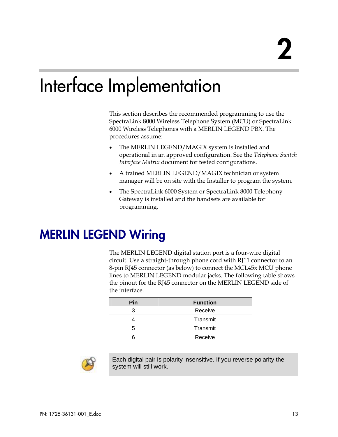# Interface Implementation

This section describes the recommended programming to use the SpectraLink 8000 Wireless Telephone System (MCU) or SpectraLink 6000 Wireless Telephones with a MERLIN LEGEND PBX. The procedures assume:

- The MERLIN LEGEND/MAGIX system is installed and operational in an approved configuration. See the *Telephone Switch Interface Matrix* document for tested configurations.
- A trained MERLIN LEGEND/MAGIX technician or system manager will be on site with the Installer to program the system.
- The SpectraLink 6000 System or SpectraLink 8000 Telephony Gateway is installed and the handsets are available for programming.

## MERLIN LEGEND Wiring

The MERLIN LEGEND digital station port is a four-wire digital circuit. Use a straight-through phone cord with RJ11 connector to an 8-pin RJ45 connector (as below) to connect the MCL45x MCU phone lines to MERLIN LEGEND modular jacks. The following table shows the pinout for the RJ45 connector on the MERLIN LEGEND side of the interface.

| Pin | <b>Function</b> |  |  |  |
|-----|-----------------|--|--|--|
|     | Receive         |  |  |  |
|     | Transmit        |  |  |  |
|     | Transmit        |  |  |  |
|     | Receive         |  |  |  |



Each digital pair is polarity insensitive. If you reverse polarity the system will still work.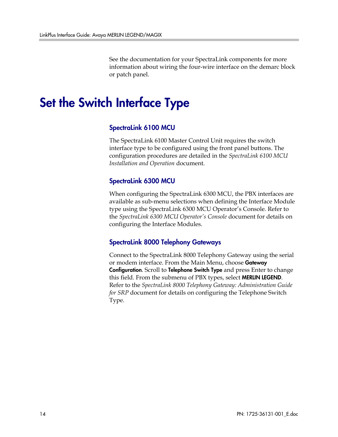See the documentation for your SpectraLink components for more information about wiring the four-wire interface on the demarc block or patch panel.

## Set the Switch Interface Type

#### SpectraLink 6100 MCU

The SpectraLink 6100 Master Control Unit requires the switch interface type to be configured using the front panel buttons. The configuration procedures are detailed in the *SpectraLink 6100 MCU Installation and Operation* document.

#### SpectraLink 6300 MCU

When configuring the SpectraLink 6300 MCU, the PBX interfaces are available as sub-menu selections when defining the Interface Module type using the SpectraLink 6300 MCU Operator's Console. Refer to the *SpectraLink 6300 MCU Operator's Console* document for details on configuring the Interface Modules.

#### SpectraLink 8000 Telephony Gateways

Connect to the SpectraLink 8000 Telephony Gateway using the serial or modem interface. From the Main Menu, choose Gateway Configuration. Scroll to Telephone Switch Type and press Enter to change this field. From the submenu of PBX types, select **MERLIN LEGEND**. Refer to the *SpectraLink 8000 Telephony Gateway: Administration Guide for SRP* document for details on configuring the Telephone Switch Type.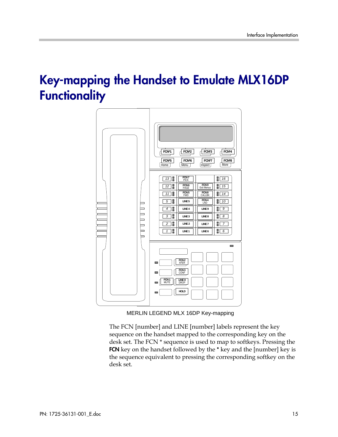## Key-mapping the Handset to Emulate MLX16DP **Functionality**



MERLIN LEGEND MLX 16DP Key-mapping

The FCN [number] and LINE [number] labels represent the key sequence on the handset mapped to the corresponding key on the desk set. The FCN \* sequence is used to map to softkeys. Pressing the FCN key on the handset followed by the \* key and the [number] key is the sequence equivalent to pressing the corresponding softkey on the desk set.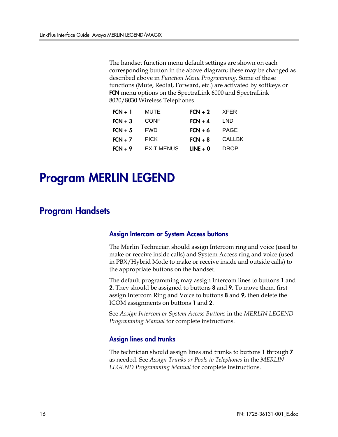The handset function menu default settings are shown on each corresponding button in the above diagram; these may be changed as described above in *Function Menu Programming*. Some of these functions (Mute, Redial, Forward, etc.) are activated by softkeys or FCN menu options on the SpectraLink 6000 and SpectraLink 8020/8030 Wireless Telephones.

| MUTE              | $FCN + 2$  | <b>XFER</b>   |
|-------------------|------------|---------------|
| <b>CONF</b>       | $FCN + 4$  | LND           |
| <b>FWD</b>        | $FCN + 6$  | <b>PAGE</b>   |
| <b>PICK</b>       | $FCN + 8$  | <b>CALLBK</b> |
| <b>EXIT MENUS</b> | $LINE + 0$ | <b>DROP</b>   |
|                   |            |               |

## Program MERLIN LEGEND

### Program Handsets

#### Assign Intercom or System Access buttons

The Merlin Technician should assign Intercom ring and voice (used to make or receive inside calls) and System Access ring and voice (used in PBX/Hybrid Mode to make or receive inside and outside calls) to the appropriate buttons on the handset.

The default programming may assign Intercom lines to buttons 1 and 2. They should be assigned to buttons 8 and 9. To move them, first assign Intercom Ring and Voice to buttons 8 and 9, then delete the ICOM assignments on buttons 1 and 2.

See *Assign Intercom or System Access Buttons* in the *MERLIN LEGEND Programming Manual* for complete instructions.

#### Assign lines and trunks

The technician should assign lines and trunks to buttons 1 through 7 as needed. See *Assign Trunks or Pools to Telephones* in the *MERLIN LEGEND Programming Manual* for complete instructions.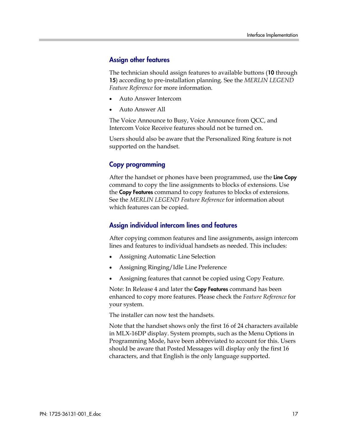#### Assign other features

The technician should assign features to available buttons (10 through 15) according to pre-installation planning. See the *MERLIN LEGEND Feature Reference* for more information.

- Auto Answer Intercom
- Auto Answer All

The Voice Announce to Busy, Voice Announce from QCC, and Intercom Voice Receive features should not be turned on.

Users should also be aware that the Personalized Ring feature is not supported on the handset.

#### Copy programming

After the handset or phones have been programmed, use the Line Copy command to copy the line assignments to blocks of extensions. Use the Copy Features command to copy features to blocks of extensions. See the *MERLIN LEGEND Feature Reference* for information about which features can be copied.

#### Assign individual intercom lines and features

After copying common features and line assignments, assign intercom lines and features to individual handsets as needed. This includes:

- Assigning Automatic Line Selection
- Assigning Ringing/Idle Line Preference
- Assigning features that cannot be copied using Copy Feature.

Note: In Release 4 and later the **Copy Features** command has been enhanced to copy more features. Please check the *Feature Reference* for your system.

The installer can now test the handsets.

Note that the handset shows only the first 16 of 24 characters available in MLX-16DP display. System prompts, such as the Menu Options in Programming Mode, have been abbreviated to account for this. Users should be aware that Posted Messages will display only the first 16 characters, and that English is the only language supported.